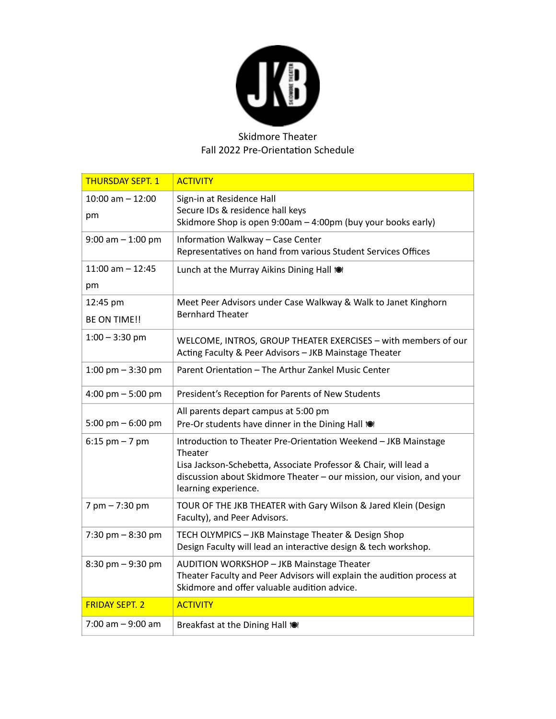

## Skidmore Theater Fall 2022 Pre-Orientation Schedule

| <b>THURSDAY SEPT. 1</b>             | <b>ACTIVITY</b>                                                                                                                                                                                                                                 |
|-------------------------------------|-------------------------------------------------------------------------------------------------------------------------------------------------------------------------------------------------------------------------------------------------|
| $10:00$ am $- 12:00$<br>pm          | Sign-in at Residence Hall<br>Secure IDs & residence hall keys<br>Skidmore Shop is open 9:00am - 4:00pm (buy your books early)                                                                                                                   |
| $9:00$ am $-1:00$ pm                | Information Walkway - Case Center<br>Representatives on hand from various Student Services Offices                                                                                                                                              |
| $11:00$ am $-12:45$<br>pm           | Lunch at the Murray Aikins Dining Hall to                                                                                                                                                                                                       |
| 12:45 pm<br><b>BE ON TIME!!</b>     | Meet Peer Advisors under Case Walkway & Walk to Janet Kinghorn<br><b>Bernhard Theater</b>                                                                                                                                                       |
| $1:00 - 3:30$ pm                    | WELCOME, INTROS, GROUP THEATER EXERCISES - with members of our<br>Acting Faculty & Peer Advisors - JKB Mainstage Theater                                                                                                                        |
| 1:00 pm $-$ 3:30 pm                 | Parent Orientation - The Arthur Zankel Music Center                                                                                                                                                                                             |
| 4:00 pm $-5:00$ pm                  | President's Reception for Parents of New Students                                                                                                                                                                                               |
| 5:00 pm $-6:00$ pm                  | All parents depart campus at 5:00 pm<br>Pre-Or students have dinner in the Dining Hall 101                                                                                                                                                      |
|                                     |                                                                                                                                                                                                                                                 |
| $6:15$ pm $-7$ pm                   | Introduction to Theater Pre-Orientation Weekend - JKB Mainstage<br>Theater<br>Lisa Jackson-Schebetta, Associate Professor & Chair, will lead a<br>discussion about Skidmore Theater - our mission, our vision, and your<br>learning experience. |
| $7 \text{ pm} - 7:30 \text{ pm}$    | TOUR OF THE JKB THEATER with Gary Wilson & Jared Klein (Design<br>Faculty), and Peer Advisors.                                                                                                                                                  |
| 7:30 pm $-8:30$ pm                  | TECH OLYMPICS - JKB Mainstage Theater & Design Shop<br>Design Faculty will lead an interactive design & tech workshop.                                                                                                                          |
| $8:30 \text{ pm} - 9:30 \text{ pm}$ | AUDITION WORKSHOP - JKB Mainstage Theater<br>Theater Faculty and Peer Advisors will explain the audition process at<br>Skidmore and offer valuable audition advice.                                                                             |
| <b>FRIDAY SEPT. 2</b>               | <b>ACTIVITY</b>                                                                                                                                                                                                                                 |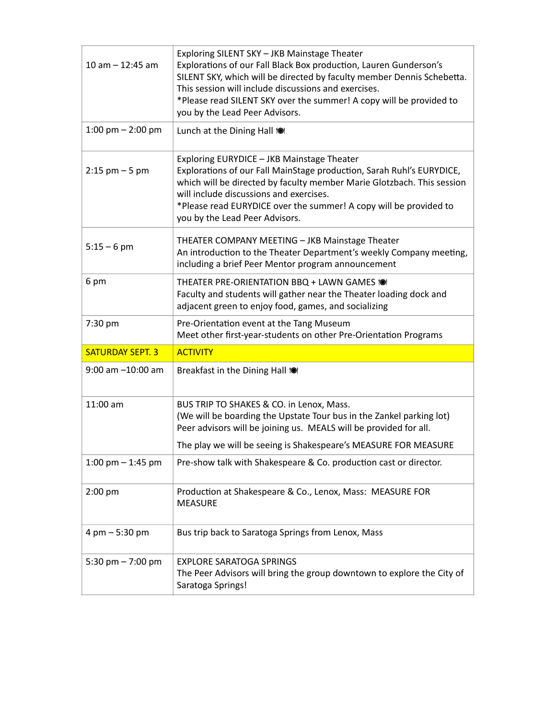| $10$ am $- 12:45$ am             | Exploring SILENT SKY - JKB Mainstage Theater<br>Explorations of our Fall Black Box production, Lauren Gunderson's<br>SILENT SKY, which will be directed by faculty member Dennis Schebetta.<br>This session will include discussions and exercises.<br>*Please read SILENT SKY over the summer! A copy will be provided to<br>you by the Lead Peer Advisors. |
|----------------------------------|--------------------------------------------------------------------------------------------------------------------------------------------------------------------------------------------------------------------------------------------------------------------------------------------------------------------------------------------------------------|
| 1:00 pm $-$ 2:00 pm              | Lunch at the Dining Hall to                                                                                                                                                                                                                                                                                                                                  |
| $2:15$ pm $-5$ pm                | Exploring EURYDICE - JKB Mainstage Theater<br>Explorations of our Fall MainStage production, Sarah Ruhl's EURYDICE,<br>which will be directed by faculty member Marie Glotzbach. This session<br>will include discussions and exercises.<br>*Please read EURYDICE over the summer! A copy will be provided to<br>you by the Lead Peer Advisors.              |
| $5:15 - 6$ pm                    | THEATER COMPANY MEETING - JKB Mainstage Theater<br>An introduction to the Theater Department's weekly Company meeting,<br>including a brief Peer Mentor program announcement                                                                                                                                                                                 |
| 6 pm                             | THEATER PRE-ORIENTATION BBQ + LAWN GAMES 10<br>Faculty and students will gather near the Theater loading dock and<br>adjacent green to enjoy food, games, and socializing                                                                                                                                                                                    |
|                                  |                                                                                                                                                                                                                                                                                                                                                              |
| 7:30 pm                          | Pre-Orientation event at the Tang Museum<br>Meet other first-year-students on other Pre-Orientation Programs                                                                                                                                                                                                                                                 |
| <b>SATURDAY SEPT. 3</b>          | <b>ACTIVITY</b>                                                                                                                                                                                                                                                                                                                                              |
| $9:00$ am $-10:00$ am            | Breakfast in the Dining Hall to                                                                                                                                                                                                                                                                                                                              |
| 11:00 am                         | BUS TRIP TO SHAKES & CO. in Lenox, Mass.<br>(We will be boarding the Upstate Tour bus in the Zankel parking lot)<br>Peer advisors will be joining us. MEALS will be provided for all.<br>The play we will be seeing is Shakespeare's MEASURE FOR MEASURE                                                                                                     |
| 1:00 pm $-$ 1:45 pm              | Pre-show talk with Shakespeare & Co. production cast or director.                                                                                                                                                                                                                                                                                            |
| $2:00$ pm                        | Production at Shakespeare & Co., Lenox, Mass: MEASURE FOR<br><b>MEASURE</b>                                                                                                                                                                                                                                                                                  |
| $4 \text{ pm} - 5:30 \text{ pm}$ | Bus trip back to Saratoga Springs from Lenox, Mass                                                                                                                                                                                                                                                                                                           |